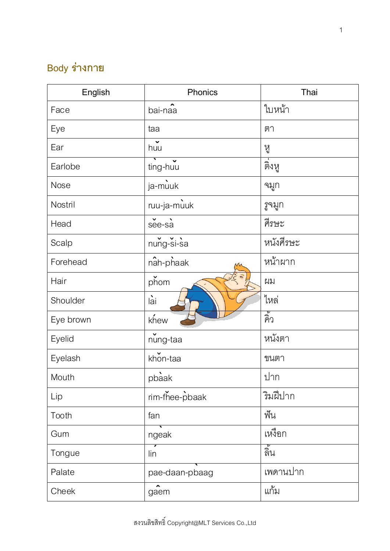## **Body ร่างกาย**

| English   | Phonics                     | Thai       |
|-----------|-----------------------------|------------|
| Face      | bai-naa                     | ใบหน้า     |
| Eye       | taa                         | ตา         |
| Ear       | $h$ <b>v</b>                | หู         |
| Earlobe   | ting-huu                    | ติงหู      |
| Nose      | ja-muuk                     | จมูก       |
| Nostril   | ruu-ja-muuk                 | รูจมูก     |
| Head      | $\checkmark$<br>see-sa      | ศีรษะ      |
| Scalp     | nung-si-sa                  | หนังศีรษะ  |
| Forehead  | $n2$ haak                   | หน้าผาก    |
| Hair      | phom                        | ผม         |
| Shoulder  | lài                         | ไหล        |
| Eye brown | khew                        | ดัง<br>คิว |
| Eyelid    | nung-taa                    | หนังตา     |
| Eyelash   | khon-taa                    | ขนตา       |
| Mouth     | pbaak                       | ปาก        |
| Lip       | rim-fhee-pbaak              | ริมฝีปาก   |
| Tooth     | fan                         | ฟัน        |
| Gum       | ngeak                       | เหงือก     |
| Tongue    | lin                         | ลั้น       |
| Palate    | pae-daan-pbaag              | เพดานปาก   |
| Cheek     | $\hat{\phantom{a}}$<br>gaem | แก้ม       |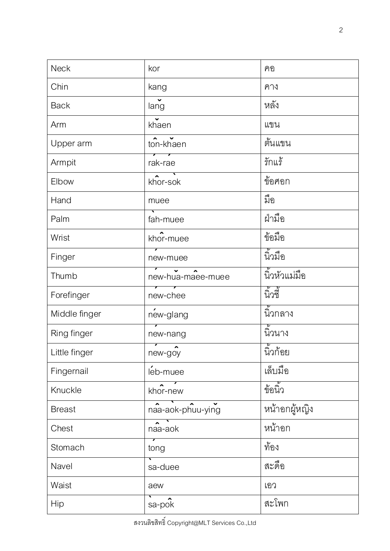| <b>Neck</b>   | kor                                 | คอ            |
|---------------|-------------------------------------|---------------|
| Chin          | kang                                | คาง           |
| <b>Back</b>   | $\ddot{\phantom{0}}$<br>lang        | หลัง          |
| Arm           | khaen                               | แขน           |
| Upper arm     | ton-khaen                           | ต้นแขน        |
| Armpit        | rak-rae                             | รักแร้        |
| Elbow         | khor-sok                            | ข้อศอก        |
| Hand          | muee                                | มือ           |
| Palm          | fah-muee                            | ฝ่ามือ        |
| Wrist         | khor-muee                           | ข้อมือ        |
| Finger        | new-muee                            | นิ้วมือ       |
| Thumb         | new-hua-maee-muee                   | นิ้วหัวแม่มือ |
| Forefinger    | new-chee                            | นิวขึ้        |
| Middle finger | new-glang                           | นิ้วกลาง      |
| Ring finger   | 7<br>new-nang                       | นิ้วนาง       |
| Little finger | $\sqrt{2}$<br>new-goy               | นิ้วก้อย      |
| Fingernail    | leb-muee                            | เล็บมือ       |
| Knuckle       | khor-new                            | ข้อนิ้ว       |
| <b>Breast</b> | naa-aok-phuu-ying                   | หน้าอกผู้หญิง |
| Chest         | $\overline{\phantom{0}}$<br>naa-aok | หน้าอก        |
| Stomach       | tong                                | ท้อง          |
| Navel         | sa-duee                             | สะดือ         |
| Waist         | aew                                 | เอว           |
| Hip           | sa-pok                              | สะโพก         |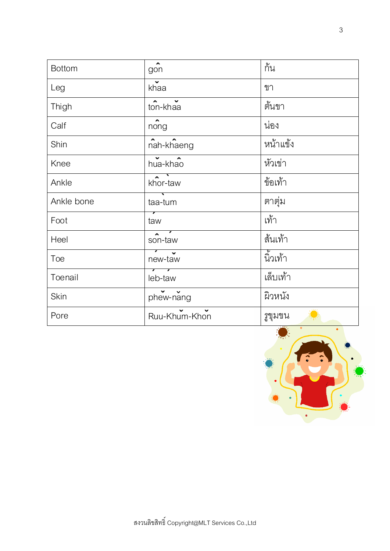| <b>Bottom</b> | $g\hat{on}$                          | กั้น     |
|---------------|--------------------------------------|----------|
| Leg           | $\mathbf{v}$<br>khaa                 | ขา       |
| Thigh         | $\sim$<br>ton-khaa                   | ต้นขา    |
| Calf          | $\overbrace{\text{nong}}$            | น่อง     |
| Shin          | nah-khaeng                           | หน้าแข้ง |
| Knee          | hua-khao                             | หัวเขา   |
| Ankle         | $\overline{\phantom{a}}$<br>khor-taw | ข้อเท้า  |
| Ankle bone    | taa-tum                              | ตาตุม    |
| Foot          | taw                                  | เท้า     |
| Heel          | $\sim$<br>son-taw                    | ส้นเท้า  |
| Toe           | new-taw                              | นิ้วเท้า |
| Toenail       | leb-taw                              | เล็บเท้า |
| Skin          | $P$ $\sim$ $\sim$ $P$                | ผิวหนัง  |
| Pore          | Ruu-Khum-Khon                        | รูขุมขน  |